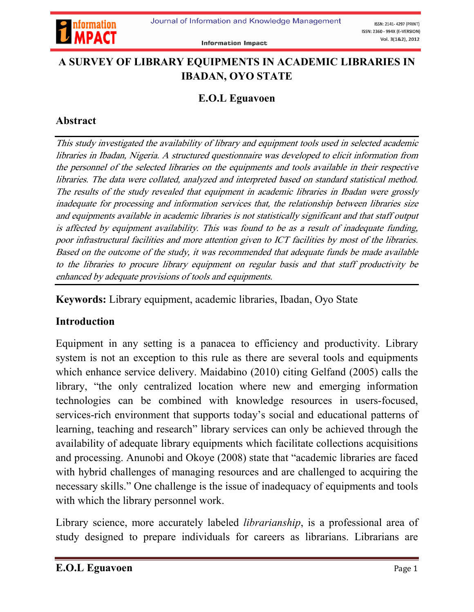

## A SURVEY OF LIBRARY EQUIPMENTS IN ACADEMIC LIBRARIES IN IBADAN, OYO STATE

#### E.O.L Eguavoen

### Abstract

This study investigated the availability of library and equipment tools used in selected academic libraries in Ibadan, Nigeria. A structured questionnaire was developed to elicit information from the personnel of the selected libraries on the equipments and tools available in their respective libraries. The data were collated, analyzed and interpreted based on standard statistical method. The results of the study revealed that equipment in academic libraries in Ibadan were grossly inadequate for processing and information services that, the relationship between libraries size and equipments available in academic libraries is not statistically significant and that staff output is affected by equipment availability. This was found to be as a result of inadequate funding, poor infrastructural facilities and more attention given to ICT facilities by most of the libraries. Based on the outcome of the study, it was recommended that adequate funds be made available to the libraries to procure library equipment on regular basis and that staff productivity be enhanced by adequate provisions of tools and equipments.

Keywords: Library equipment, academic libraries, Ibadan, Oyo State

### Introduction

Equipment in any setting is a panacea to efficiency and productivity. Library system is not an exception to this rule as there are several tools and equipments which enhance service delivery. Maidabino (2010) citing Gelfand (2005) calls the library, "the only centralized location where new and emerging information technologies can be combined with knowledge resources in users-focused, services-rich environment that supports today's social and educational patterns of learning, teaching and research" library services can only be achieved through the availability of adequate library equipments which facilitate collections acquisitions and processing. Anunobi and Okoye (2008) state that "academic libraries are faced with hybrid challenges of managing resources and are challenged to acquiring the necessary skills." One challenge is the issue of inadequacy of equipments and tools with which the library personnel work.

Library science, more accurately labeled *librarianship*, is a professional area of study designed to prepare individuals for careers as librarians. Librarians are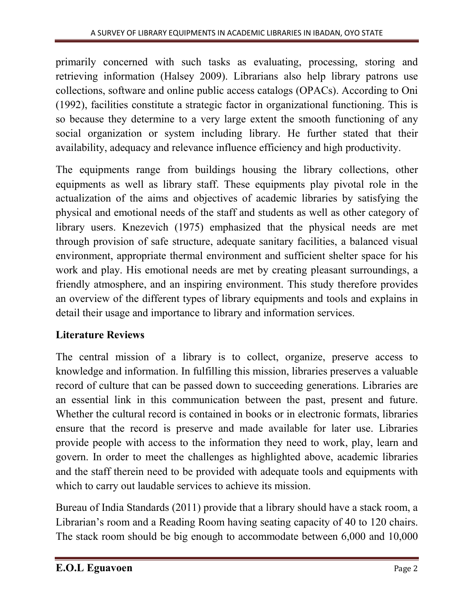primarily concerned with such tasks as evaluating, processing, storing and retrieving information (Halsey 2009). Librarians also help library patrons use collections, software and online public access catalogs (OPACs). According to Oni (1992), facilities constitute a strategic factor in organizational functioning. This is so because they determine to a very large extent the smooth functioning of any social organization or system including library. He further stated that their availability, adequacy and relevance influence efficiency and high productivity.

The equipments range from buildings housing the library collections, other equipments as well as library staff. These equipments play pivotal role in the actualization of the aims and objectives of academic libraries by satisfying the physical and emotional needs of the staff and students as well as other category of library users. Knezevich (1975) emphasized that the physical needs are met through provision of safe structure, adequate sanitary facilities, a balanced visual environment, appropriate thermal environment and sufficient shelter space for his work and play. His emotional needs are met by creating pleasant surroundings, a friendly atmosphere, and an inspiring environment. This study therefore provides an overview of the different types of library equipments and tools and explains in detail their usage and importance to library and information services.

# Literature Reviews

The central mission of a library is to collect, organize, preserve access to knowledge and information. In fulfilling this mission, libraries preserves a valuable record of culture that can be passed down to succeeding generations. Libraries are an essential link in this communication between the past, present and future. Whether the cultural record is contained in books or in electronic formats, libraries ensure that the record is preserve and made available for later use. Libraries provide people with access to the information they need to work, play, learn and govern. In order to meet the challenges as highlighted above, academic libraries and the staff therein need to be provided with adequate tools and equipments with which to carry out laudable services to achieve its mission.

Bureau of India Standards (2011) provide that a library should have a stack room, a Librarian's room and a Reading Room having seating capacity of 40 to 120 chairs. The stack room should be big enough to accommodate between 6,000 and 10,000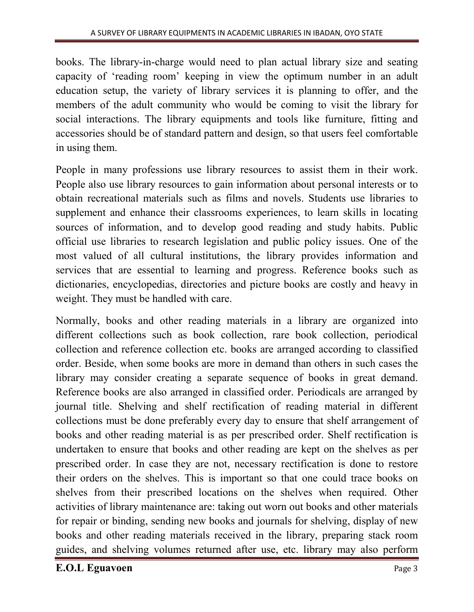books. The library-in-charge would need to plan actual library size and seating capacity of 'reading room' keeping in view the optimum number in an adult education setup, the variety of library services it is planning to offer, and the members of the adult community who would be coming to visit the library for social interactions. The library equipments and tools like furniture, fitting and accessories should be of standard pattern and design, so that users feel comfortable in using them.

People in many professions use library resources to assist them in their work. People also use library resources to gain information about personal interests or to obtain recreational materials such as films and novels. Students use libraries to supplement and enhance their classrooms experiences, to learn skills in locating sources of information, and to develop good reading and study habits. Public official use libraries to research legislation and public policy issues. One of the most valued of all cultural institutions, the library provides information and services that are essential to learning and progress. Reference books such as dictionaries, encyclopedias, directories and picture books are costly and heavy in weight. They must be handled with care.

Normally, books and other reading materials in a library are organized into different collections such as book collection, rare book collection, periodical collection and reference collection etc. books are arranged according to classified order. Beside, when some books are more in demand than others in such cases the library may consider creating a separate sequence of books in great demand. Reference books are also arranged in classified order. Periodicals are arranged by journal title. Shelving and shelf rectification of reading material in different collections must be done preferably every day to ensure that shelf arrangement of books and other reading material is as per prescribed order. Shelf rectification is undertaken to ensure that books and other reading are kept on the shelves as per prescribed order. In case they are not, necessary rectification is done to restore their orders on the shelves. This is important so that one could trace books on shelves from their prescribed locations on the shelves when required. Other activities of library maintenance are: taking out worn out books and other materials for repair or binding, sending new books and journals for shelving, display of new books and other reading materials received in the library, preparing stack room guides, and shelving volumes returned after use, etc. library may also perform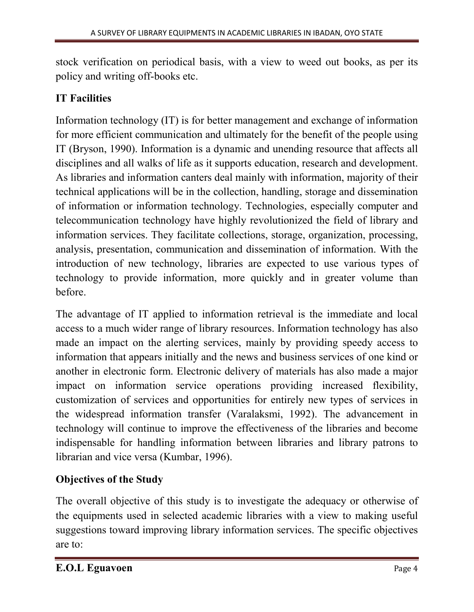stock verification on periodical basis, with a view to weed out books, as per its policy and writing off-books etc.

# IT Facilities

Information technology (IT) is for better management and exchange of information for more efficient communication and ultimately for the benefit of the people using IT (Bryson, 1990). Information is a dynamic and unending resource that affects all disciplines and all walks of life as it supports education, research and development. As libraries and information canters deal mainly with information, majority of their technical applications will be in the collection, handling, storage and dissemination of information or information technology. Technologies, especially computer and telecommunication technology have highly revolutionized the field of library and information services. They facilitate collections, storage, organization, processing, analysis, presentation, communication and dissemination of information. With the introduction of new technology, libraries are expected to use various types of technology to provide information, more quickly and in greater volume than before.

The advantage of IT applied to information retrieval is the immediate and local access to a much wider range of library resources. Information technology has also made an impact on the alerting services, mainly by providing speedy access to information that appears initially and the news and business services of one kind or another in electronic form. Electronic delivery of materials has also made a major impact on information service operations providing increased flexibility, customization of services and opportunities for entirely new types of services in the widespread information transfer (Varalaksmi, 1992). The advancement in technology will continue to improve the effectiveness of the libraries and become indispensable for handling information between libraries and library patrons to librarian and vice versa (Kumbar, 1996).

# Objectives of the Study

The overall objective of this study is to investigate the adequacy or otherwise of the equipments used in selected academic libraries with a view to making useful suggestions toward improving library information services. The specific objectives are to: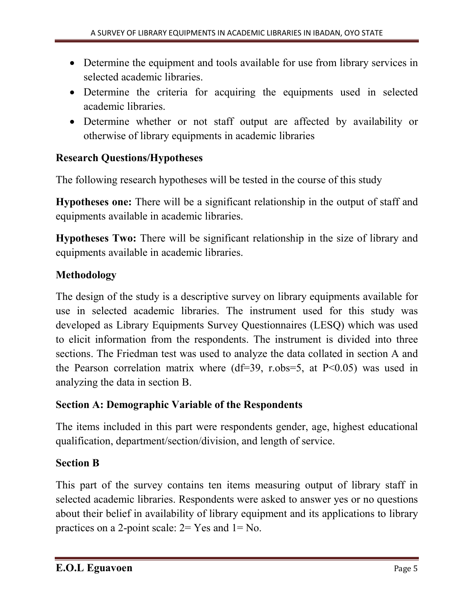- Determine the equipment and tools available for use from library services in selected academic libraries.
- Determine the criteria for acquiring the equipments used in selected academic libraries.
- Determine whether or not staff output are affected by availability or otherwise of library equipments in academic libraries

# Research Questions/Hypotheses

The following research hypotheses will be tested in the course of this study

Hypotheses one: There will be a significant relationship in the output of staff and equipments available in academic libraries.

Hypotheses Two: There will be significant relationship in the size of library and equipments available in academic libraries.

## Methodology

The design of the study is a descriptive survey on library equipments available for use in selected academic libraries. The instrument used for this study was developed as Library Equipments Survey Questionnaires (LESQ) which was used to elicit information from the respondents. The instrument is divided into three sections. The Friedman test was used to analyze the data collated in section A and the Pearson correlation matrix where  $(df=39, r.obs=5, at P<0.05)$  was used in analyzing the data in section B.

### Section A: Demographic Variable of the Respondents

The items included in this part were respondents gender, age, highest educational qualification, department/section/division, and length of service.

### Section B

This part of the survey contains ten items measuring output of library staff in selected academic libraries. Respondents were asked to answer yes or no questions about their belief in availability of library equipment and its applications to library practices on a 2-point scale: 2= Yes and 1= No.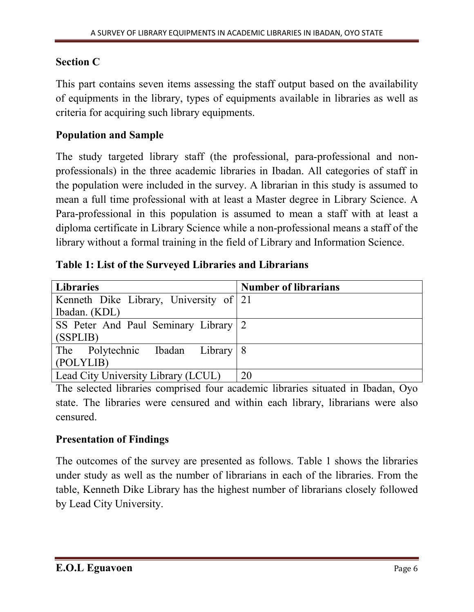#### Section C

This part contains seven items assessing the staff output based on the availability of equipments in the library, types of equipments available in libraries as well as criteria for acquiring such library equipments.

#### Population and Sample

The study targeted library staff (the professional, para-professional and nonprofessionals) in the three academic libraries in Ibadan. All categories of staff in the population were included in the survey. A librarian in this study is assumed to mean a full time professional with at least a Master degree in Library Science. A Para-professional in this population is assumed to mean a staff with at least a diploma certificate in Library Science while a non-professional means a staff of the library without a formal training in the field of Library and Information Science.

|  |  |  |  | Table 1: List of the Surveyed Libraries and Librarians |
|--|--|--|--|--------------------------------------------------------|
|--|--|--|--|--------------------------------------------------------|

| <b>Libraries</b>                       | <b>Number of librarians</b> |
|----------------------------------------|-----------------------------|
| Kenneth Dike Library, University of 21 |                             |
| Ibadan. (KDL)                          |                             |
| SS Peter And Paul Seminary Library 2   |                             |
| (SSPLIB)                               |                             |
| The Polytechnic Ibadan Library 8       |                             |
| (POLYLIB)                              |                             |
| Lead City University Library (LCUL)    | 20                          |

The selected libraries comprised four academic libraries situated in Ibadan, Oyo state. The libraries were censured and within each library, librarians were also censured.

#### Presentation of Findings

The outcomes of the survey are presented as follows. Table 1 shows the libraries under study as well as the number of librarians in each of the libraries. From the table, Kenneth Dike Library has the highest number of librarians closely followed by Lead City University.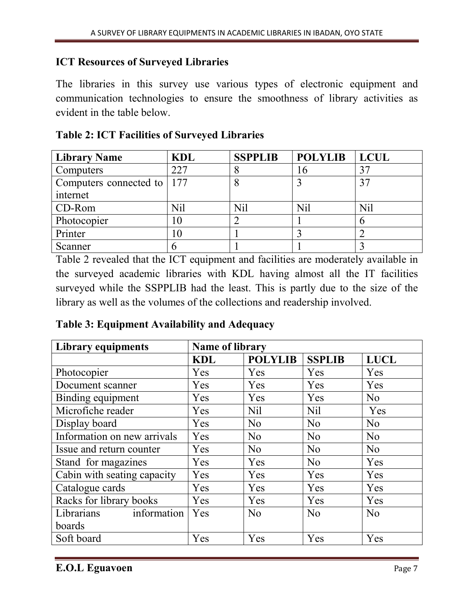#### ICT Resources of Surveyed Libraries

The libraries in this survey use various types of electronic equipment and communication technologies to ensure the smoothness of library activities as evident in the table below.

| <b>Library Name</b>          | <b>KDL</b> | <b>SSPPLIB</b> | <b>POLYLIB</b> | <b>LCUL</b> |
|------------------------------|------------|----------------|----------------|-------------|
| Computers                    | 227        |                | $10^{-1}$      |             |
| Computers connected to   177 |            |                |                |             |
| internet                     |            |                |                |             |
| CD-Rom                       | Nil        | Nil            | <b>Nil</b>     | <b>Nil</b>  |
| Photocopier                  |            |                |                |             |
| Printer                      |            |                |                |             |
| Scanner                      |            |                |                |             |

#### Table 2: ICT Facilities of Surveyed Libraries

Table 2 revealed that the ICT equipment and facilities are moderately available in the surveyed academic libraries with KDL having almost all the IT facilities surveyed while the SSPPLIB had the least. This is partly due to the size of the library as well as the volumes of the collections and readership involved.

| Table 3: Equipment Availability and Adequacy |  |
|----------------------------------------------|--|
|----------------------------------------------|--|

| <b>Library equipments</b>   | <b>Name of library</b> |                |                |                |  |  |
|-----------------------------|------------------------|----------------|----------------|----------------|--|--|
|                             | <b>KDL</b>             | <b>POLYLIB</b> | <b>SSPLIB</b>  | <b>LUCL</b>    |  |  |
| Photocopier                 | Yes                    | Yes            | Yes            | Yes            |  |  |
| Document scanner            | Yes                    | Yes            | Yes            | Yes            |  |  |
| Binding equipment           | Yes                    | Yes            | Yes            | No             |  |  |
| Microfiche reader           | Yes                    | <b>Nil</b>     | <b>Nil</b>     | Yes            |  |  |
| Display board               | Yes                    | N <sub>0</sub> | N <sub>0</sub> | N <sub>o</sub> |  |  |
| Information on new arrivals | Yes                    | N <sub>o</sub> | N <sub>0</sub> | No             |  |  |
| Issue and return counter    | Yes                    | N <sub>0</sub> | N <sub>0</sub> | No             |  |  |
| Stand for magazines         | Yes                    | Yes            | N <sub>0</sub> | Yes            |  |  |
| Cabin with seating capacity | Yes                    | Yes            | Yes            | Yes            |  |  |
| Catalogue cards             | Yes                    | Yes            | Yes            | Yes            |  |  |
| Racks for library books     | Yes                    | Yes            | Yes            | Yes            |  |  |
| information<br>Librarians   | Yes                    | N <sub>0</sub> | N <sub>0</sub> | N <sub>0</sub> |  |  |
| boards                      |                        |                |                |                |  |  |
| Soft board                  | Yes                    | Yes            | Yes            | Yes            |  |  |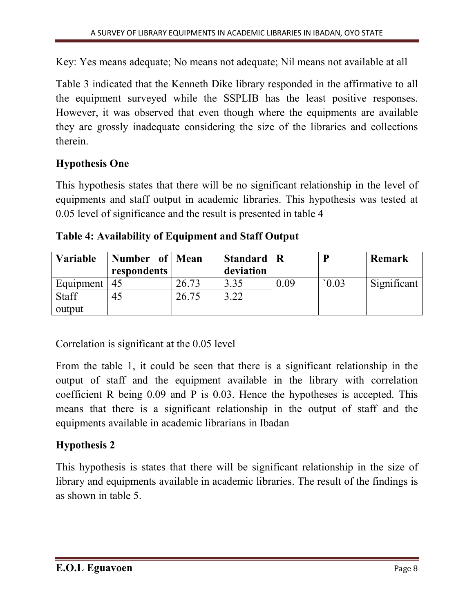Key: Yes means adequate; No means not adequate; Nil means not available at all

Table 3 indicated that the Kenneth Dike library responded in the affirmative to all the equipment surveyed while the SSPLIB has the least positive responses. However, it was observed that even though where the equipments are available they are grossly inadequate considering the size of the libraries and collections therein.

### Hypothesis One

This hypothesis states that there will be no significant relationship in the level of equipments and staff output in academic libraries. This hypothesis was tested at 0.05 level of significance and the result is presented in table 4

|  | Table 4: Availability of Equipment and Staff Output |  |
|--|-----------------------------------------------------|--|
|  |                                                     |  |

| Variable     | Number of Mean<br>respondents |       | Standard   R<br>deviation |      |      | Remark      |
|--------------|-------------------------------|-------|---------------------------|------|------|-------------|
| Equipment    | -45                           | 26.73 | 3.35                      | 0.09 | 0.03 | Significant |
| <b>Staff</b> | 45                            | 26.75 | .22                       |      |      |             |
| output       |                               |       |                           |      |      |             |

Correlation is significant at the 0.05 level

From the table 1, it could be seen that there is a significant relationship in the output of staff and the equipment available in the library with correlation coefficient R being 0.09 and P is 0.03. Hence the hypotheses is accepted. This means that there is a significant relationship in the output of staff and the equipments available in academic librarians in Ibadan

## Hypothesis 2

This hypothesis is states that there will be significant relationship in the size of library and equipments available in academic libraries. The result of the findings is as shown in table 5.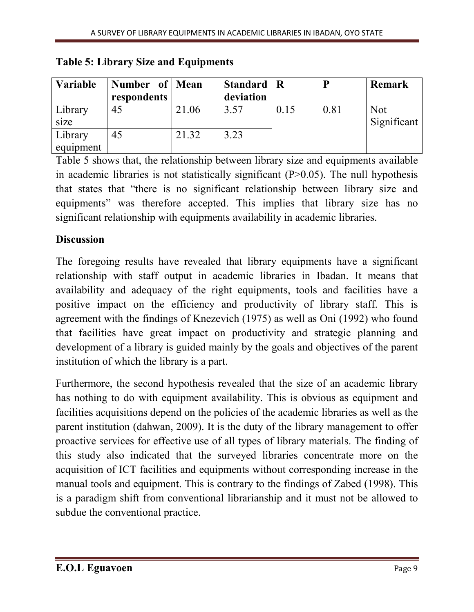| Variable  | Number of Mean |       | Standard   R |      | р    | <b>Remark</b> |
|-----------|----------------|-------|--------------|------|------|---------------|
|           | respondents    |       | deviation    |      |      |               |
| Library   | 45             | 21.06 | 3.57         | 0.15 | 0.81 | <b>Not</b>    |
| size      |                |       |              |      |      | Significant   |
| Library   | 45             | 21.32 | 3.23         |      |      |               |
| equipment |                |       |              |      |      |               |

Table 5: Library Size and Equipments

Table 5 shows that, the relationship between library size and equipments available in academic libraries is not statistically significant  $(P>0.05)$ . The null hypothesis that states that "there is no significant relationship between library size and equipments" was therefore accepted. This implies that library size has no significant relationship with equipments availability in academic libraries.

## **Discussion**

The foregoing results have revealed that library equipments have a significant relationship with staff output in academic libraries in Ibadan. It means that availability and adequacy of the right equipments, tools and facilities have a positive impact on the efficiency and productivity of library staff. This is agreement with the findings of Knezevich (1975) as well as Oni (1992) who found that facilities have great impact on productivity and strategic planning and development of a library is guided mainly by the goals and objectives of the parent institution of which the library is a part.

Furthermore, the second hypothesis revealed that the size of an academic library has nothing to do with equipment availability. This is obvious as equipment and facilities acquisitions depend on the policies of the academic libraries as well as the parent institution (dahwan, 2009). It is the duty of the library management to offer proactive services for effective use of all types of library materials. The finding of this study also indicated that the surveyed libraries concentrate more on the acquisition of ICT facilities and equipments without corresponding increase in the manual tools and equipment. This is contrary to the findings of Zabed (1998). This is a paradigm shift from conventional librarianship and it must not be allowed to subdue the conventional practice.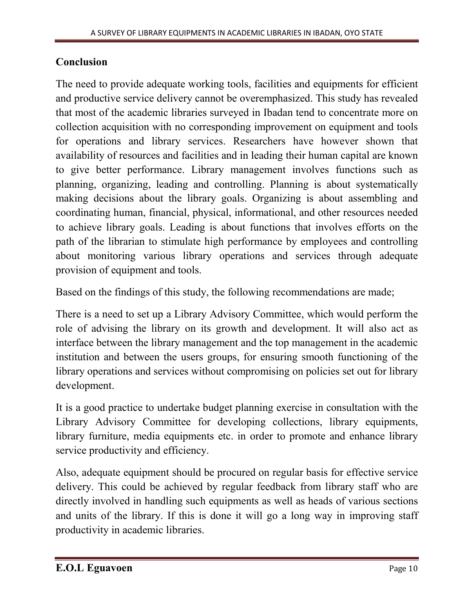### Conclusion

The need to provide adequate working tools, facilities and equipments for efficient and productive service delivery cannot be overemphasized. This study has revealed that most of the academic libraries surveyed in Ibadan tend to concentrate more on collection acquisition with no corresponding improvement on equipment and tools for operations and library services. Researchers have however shown that availability of resources and facilities and in leading their human capital are known to give better performance. Library management involves functions such as planning, organizing, leading and controlling. Planning is about systematically making decisions about the library goals. Organizing is about assembling and coordinating human, financial, physical, informational, and other resources needed to achieve library goals. Leading is about functions that involves efforts on the path of the librarian to stimulate high performance by employees and controlling about monitoring various library operations and services through adequate provision of equipment and tools.

Based on the findings of this study, the following recommendations are made;

There is a need to set up a Library Advisory Committee, which would perform the role of advising the library on its growth and development. It will also act as interface between the library management and the top management in the academic institution and between the users groups, for ensuring smooth functioning of the library operations and services without compromising on policies set out for library development.

It is a good practice to undertake budget planning exercise in consultation with the Library Advisory Committee for developing collections, library equipments, library furniture, media equipments etc. in order to promote and enhance library service productivity and efficiency.

Also, adequate equipment should be procured on regular basis for effective service delivery. This could be achieved by regular feedback from library staff who are directly involved in handling such equipments as well as heads of various sections and units of the library. If this is done it will go a long way in improving staff productivity in academic libraries.